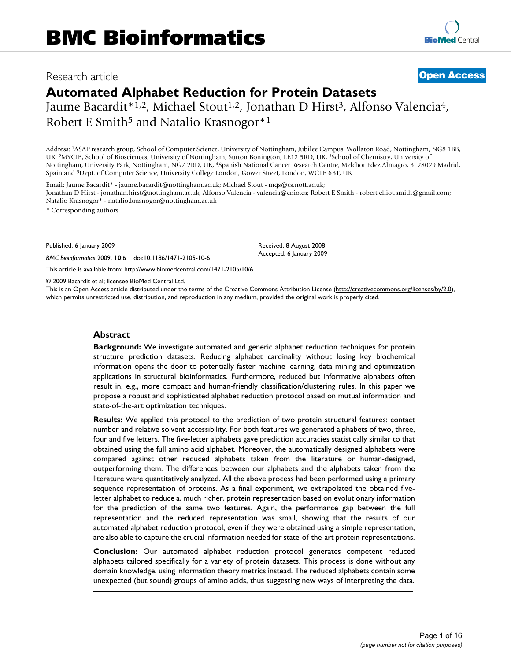# Research article **[Open Access](http://www.biomedcentral.com/info/about/charter/)**

# **Automated Alphabet Reduction for Protein Datasets** Jaume Bacardit<sup>\*1,2</sup>, Michael Stout<sup>1,2</sup>, Jonathan D Hirst<sup>3</sup>, Alfonso Valencia<sup>4</sup>, Robert E Smith<sup>5</sup> and Natalio Krasnogor<sup>\*1</sup>

Address: 1ASAP research group, School of Computer Science, University of Nottingham, Jubilee Campus, Wollaton Road, Nottingham, NG8 1BB, UK, 2MYCIB, School of Biosciences, University of Nottingham, Sutton Bonington, LE12 5RD, UK, 3School of Chemistry, University of Nottingham, University Park, Nottingham, NG7 2RD, UK, 4Spanish National Cancer Research Centre, Melchor Fdez Almagro, 3. 28029 Madrid, Spain and 5Dept. of Computer Science, University College London, Gower Street, London, WC1E 6BT, UK

Email: Jaume Bacardit\* - jaume.bacardit@nottingham.ac.uk; Michael Stout - mqs@cs.nott.ac.uk; Jonathan D Hirst - jonathan.hirst@nottingham.ac.uk; Alfonso Valencia - valencia@cnio.es; Robert E Smith - robert.elliot.smith@gmail.com; Natalio Krasnogor\* - natalio.krasnogor@nottingham.ac.uk

\* Corresponding authors

Published: 6 January 2009

*BMC Bioinformatics* 2009, **10**:6 doi:10.1186/1471-2105-10-6

[This article is available from: http://www.biomedcentral.com/1471-2105/10/6](http://www.biomedcentral.com/1471-2105/10/6)

© 2009 Bacardit et al; licensee BioMed Central Ltd.

This is an Open Access article distributed under the terms of the Creative Commons Attribution License [\(http://creativecommons.org/licenses/by/2.0\)](http://creativecommons.org/licenses/by/2.0), which permits unrestricted use, distribution, and reproduction in any medium, provided the original work is properly cited.

Received: 8 August 2008 Accepted: 6 January 2009

#### **Abstract**

**Background:** We investigate automated and generic alphabet reduction techniques for protein structure prediction datasets. Reducing alphabet cardinality without losing key biochemical information opens the door to potentially faster machine learning, data mining and optimization applications in structural bioinformatics. Furthermore, reduced but informative alphabets often result in, e.g., more compact and human-friendly classification/clustering rules. In this paper we propose a robust and sophisticated alphabet reduction protocol based on mutual information and state-of-the-art optimization techniques.

**Results:** We applied this protocol to the prediction of two protein structural features: contact number and relative solvent accessibility. For both features we generated alphabets of two, three, four and five letters. The five-letter alphabets gave prediction accuracies statistically similar to that obtained using the full amino acid alphabet. Moreover, the automatically designed alphabets were compared against other reduced alphabets taken from the literature or human-designed, outperforming them. The differences between our alphabets and the alphabets taken from the literature were quantitatively analyzed. All the above process had been performed using a primary sequence representation of proteins. As a final experiment, we extrapolated the obtained fiveletter alphabet to reduce a, much richer, protein representation based on evolutionary information for the prediction of the same two features. Again, the performance gap between the full representation and the reduced representation was small, showing that the results of our automated alphabet reduction protocol, even if they were obtained using a simple representation, are also able to capture the crucial information needed for state-of-the-art protein representations.

**Conclusion:** Our automated alphabet reduction protocol generates competent reduced alphabets tailored specifically for a variety of protein datasets. This process is done without any domain knowledge, using information theory metrics instead. The reduced alphabets contain some unexpected (but sound) groups of amino acids, thus suggesting new ways of interpreting the data.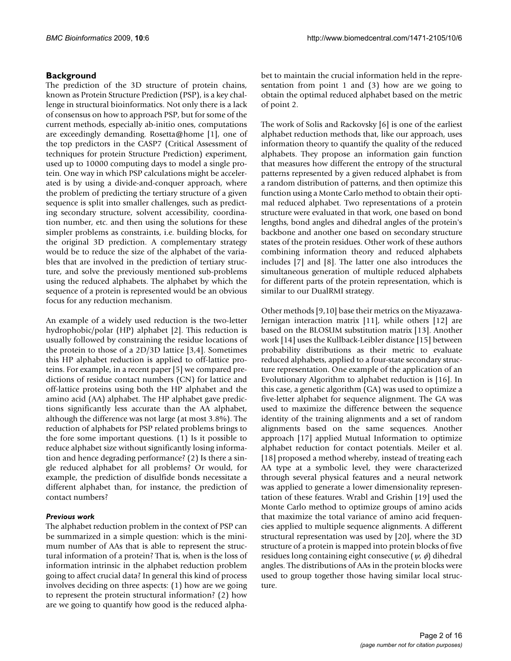# **Background**

The prediction of the 3D structure of protein chains, known as Protein Structure Prediction (PSP), is a key challenge in structural bioinformatics. Not only there is a lack of consensus on how to approach PSP, but for some of the current methods, especially ab-initio ones, computations are exceedingly demanding. Rosetta@home [1], one of the top predictors in the CASP7 (Critical Assessment of techniques for protein Structure Prediction) experiment, used up to 10000 computing days to model a single protein. One way in which PSP calculations might be accelerated is by using a divide-and-conquer approach, where the problem of predicting the tertiary structure of a given sequence is split into smaller challenges, such as predicting secondary structure, solvent accessibility, coordination number, etc. and then using the solutions for these simpler problems as constraints, i.e. building blocks, for the original 3D prediction. A complementary strategy would be to reduce the size of the alphabet of the variables that are involved in the prediction of tertiary structure, and solve the previously mentioned sub-problems using the reduced alphabets. The alphabet by which the sequence of a protein is represented would be an obvious focus for any reduction mechanism.

An example of a widely used reduction is the two-letter hydrophobic/polar (HP) alphabet [2]. This reduction is usually followed by constraining the residue locations of the protein to those of a 2D/3D lattice [3,4]. Sometimes this HP alphabet reduction is applied to off-lattice proteins. For example, in a recent paper [5] we compared predictions of residue contact numbers (CN) for lattice and off-lattice proteins using both the HP alphabet and the amino acid (AA) alphabet. The HP alphabet gave predictions significantly less accurate than the AA alphabet, although the difference was not large (at most 3.8%). The reduction of alphabets for PSP related problems brings to the fore some important questions. (1) Is it possible to reduce alphabet size without significantly losing information and hence degrading performance? (2) Is there a single reduced alphabet for all problems? Or would, for example, the prediction of disulfide bonds necessitate a different alphabet than, for instance, the prediction of contact numbers?

# *Previous work*

The alphabet reduction problem in the context of PSP can be summarized in a simple question: which is the minimum number of AAs that is able to represent the structural information of a protein? That is, when is the loss of information intrinsic in the alphabet reduction problem going to affect crucial data? In general this kind of process involves deciding on three aspects: (1) how are we going to represent the protein structural information? (2) how are we going to quantify how good is the reduced alphabet to maintain the crucial information held in the representation from point 1 and (3) how are we going to obtain the optimal reduced alphabet based on the metric of point 2.

The work of Solis and Rackovsky [6] is one of the earliest alphabet reduction methods that, like our approach, uses information theory to quantify the quality of the reduced alphabets. They propose an information gain function that measures how different the entropy of the structural patterns represented by a given reduced alphabet is from a random distribution of patterns, and then optimize this function using a Monte Carlo method to obtain their optimal reduced alphabet. Two representations of a protein structure were evaluated in that work, one based on bond lengths, bond angles and dihedral angles of the protein's backbone and another one based on secondary structure states of the protein residues. Other work of these authors combining information theory and reduced alphabets includes [7] and [8]. The latter one also introduces the simultaneous generation of multiple reduced alphabets for different parts of the protein representation, which is similar to our DualRMI strategy.

Other methods [9,10] base their metrics on the Miyazawa-Jernigan interaction matrix [11], while others [12] are based on the BLOSUM substitution matrix [13]. Another work [14] uses the Kullback-Leibler distance [15] between probability distributions as their metric to evaluate reduced alphabets, applied to a four-state secondary structure representation. One example of the application of an Evolutionary Algorithm to alphabet reduction is [16]. In this case, a genetic algorithm (GA) was used to optimize a five-letter alphabet for sequence alignment. The GA was used to maximize the difference between the sequence identity of the training alignments and a set of random alignments based on the same sequences. Another approach [17] applied Mutual Information to optimize alphabet reduction for contact potentials. Meiler et al. [18] proposed a method whereby, instead of treating each AA type at a symbolic level, they were characterized through several physical features and a neural network was applied to generate a lower dimensionality representation of these features. Wrabl and Grishin [19] used the Monte Carlo method to optimize groups of amino acids that maximize the total variance of amino acid frequencies applied to multiple sequence alignments. A different structural representation was used by [20], where the 3D structure of a protein is mapped into protein blocks of five residues long containing eight consecutive ( $\psi$ ,  $\phi$ ) dihedral angles. The distributions of AAs in the protein blocks were used to group together those having similar local structure.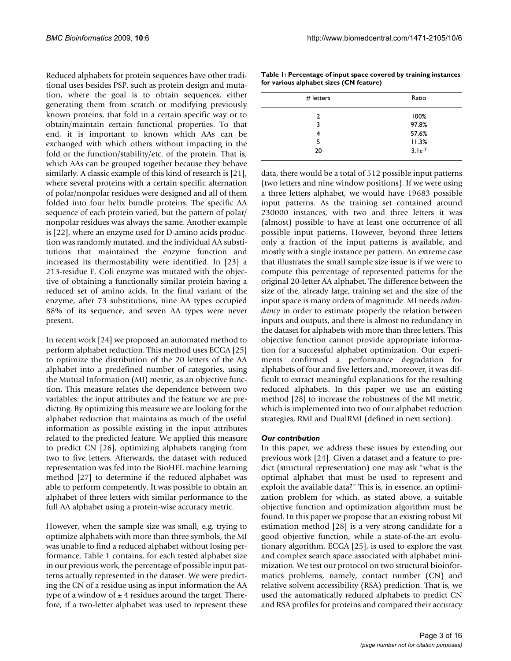Reduced alphabets for protein sequences have other traditional uses besides PSP, such as protein design and mutation, where the goal is to obtain sequences, either generating them from scratch or modifying previously known proteins, that fold in a certain specific way or to obtain/maintain certain functional properties. To that end, it is important to known which AAs can be exchanged with which others without impacting in the fold or the function/stability/etc. of the protein. That is, which AAs can be grouped together because they behave similarly. A classic example of this kind of research is [21], where several proteins with a certain specific alternation of polar/nonpolar residues were designed and all of them folded into four helix bundle proteins. The specific AA sequence of each protein varied, but the pattern of polar/ nonpolar residues was always the same. Another example is [22], where an enzyme used for D-amino acids production was randomly mutated, and the individual AA substitutions that maintained the enzyme function and increased its thermostability were identified. In [23] a 213-residue E. Coli enzyme was mutated with the objective of obtaining a functionally similar protein having a reduced set of amino acids. In the final variant of the enzyme, after 73 substitutions, nine AA types occupied 88% of its sequence, and seven AA types were never present.

In recent work [24] we proposed an automated method to perform alphabet reduction. This method uses ECGA [25] to optimize the distribution of the 20 letters of the AA alphabet into a predefined number of categories, using the Mutual Information (MI) metric, as an objective function. This measure relates the dependence between two variables: the input attributes and the feature we are predicting. By optimizing this measure we are looking for the alphabet reduction that maintains as much of the useful information as possible existing in the input attributes related to the predicted feature. We applied this measure to predict CN [26], optimizing alphabets ranging from two to five letters. Afterwards, the dataset with reduced representation was fed into the BioHEL machine learning method [27] to determine if the reduced alphabet was able to perform competently. It was possible to obtain an alphabet of three letters with similar performance to the full AA alphabet using a protein-wise accuracy metric.

However, when the sample size was small, e.g. trying to optimize alphabets with more than three symbols, the MI was unable to find a reduced alphabet without losing performance. Table 1 contains, for each tested alphabet size in our previous work, the percentage of possible input patterns actually represented in the dataset. We were predicting the CN of a residue using as input information the AA type of a window of  $\pm$  4 residues around the target. Therefore, if a two-letter alphabet was used to represent these

**Table 1: Percentage of input space covered by training instances for various alphabet sizes (CN feature)**

| # letters | Ratio       |
|-----------|-------------|
| 2         | 100%        |
| 3         | 97.8%       |
| 4         | 57.6%       |
| 5         | 11.3%       |
| 20        | $3.1e^{-7}$ |
|           |             |

data, there would be a total of 512 possible input patterns (two letters and nine window positions). If we were using a three letters alphabet, we would have 19683 possible input patterns. As the training set contained around 230000 instances, with two and three letters it was (almost) possible to have at least one occurrence of all possible input patterns. However, beyond three letters only a fraction of the input patterns is available, and mostly with a single instance per pattern. An extreme case that illustrates the small sample size issue is if we were to compute this percentage of represented patterns for the original 20-letter AA alphabet. The difference between the size of the, already large, training set and the size of the input space is many orders of magnitude. MI needs *redundancy* in order to estimate properly the relation between inputs and outputs, and there is almost no redundancy in the dataset for alphabets with more than three letters. This objective function cannot provide appropriate information for a successful alphabet optimization. Our experiments confirmed a performance degradation for alphabets of four and five letters and, moreover, it was difficult to extract meaningful explanations for the resulting reduced alphabets. In this paper we use an existing method [28] to increase the robustness of the MI metric, which is implemented into two of our alphabet reduction strategies, RMI and DualRMI (defined in next section).

#### *Our contribution*

In this paper, we address these issues by extending our previous work [24]. Given a dataset and a feature to predict (structural representation) one may ask "what is the optimal alphabet that must be used to represent and exploit the available data?" This is, in essence, an optimization problem for which, as stated above, a suitable objective function and optimization algorithm must be found. In this paper we propose that an existing robust MI estimation method [28] is a very strong candidate for a good objective function, while a state-of-the-art evolutionary algorithm, ECGA [25], is used to explore the vast and complex search space associated with alphabet minimization. We test our protocol on two structural bioinformatics problems, namely, contact number (CN) and relative solvent accessibility (RSA) prediction. That is, we used the automatically reduced alphabets to predict CN and RSA profiles for proteins and compared their accuracy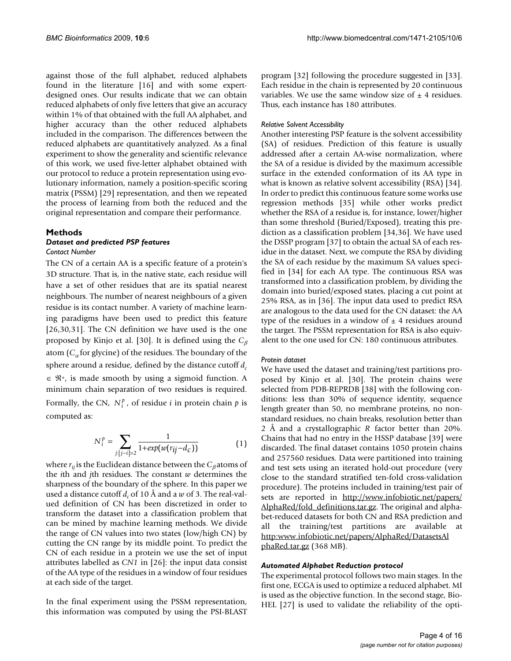against those of the full alphabet, reduced alphabets found in the literature [16] and with some expertdesigned ones. Our results indicate that we can obtain reduced alphabets of only five letters that give an accuracy within 1% of that obtained with the full AA alphabet, and higher accuracy than the other reduced alphabets included in the comparison. The differences between the reduced alphabets are quantitatively analyzed. As a final experiment to show the generality and scientific relevance of this work, we used five-letter alphabet obtained with our protocol to reduce a protein representation using evolutionary information, namely a position-specific scoring matrix (PSSM) [29] representation, and then we repeated the process of learning from both the reduced and the original representation and compare their performance.

### **Methods**

#### *Dataset and predicted PSP features Contact Number*

The CN of a certain AA is a specific feature of a protein's 3D structure. That is, in the native state, each residue will have a set of other residues that are its spatial nearest neighbours. The number of nearest neighbours of a given residue is its contact number. A variety of machine learning paradigms have been used to predict this feature [26,30,31]. The CN definition we have used is the one proposed by Kinjo et al. [30]. It is defined using the *C*<sup>β</sup> atom ( $C_{\alpha}$  for glycine) of the residues. The boundary of the sphere around a residue, defined by the distance cutoff  $d_c$  $\in \mathfrak{R}^+$ , is made smooth by using a sigmoid function. A minimum chain separation of two residues is required. Formally, the CN,  $N_i^p$ , of residue *i* in protein chain  $p$  is computed as:

$$
N_i^p = \sum_{j:|j-i|>2} \frac{1}{1+exp(w(r_{ij}-d_c))}
$$
 (1)

where  $r_{ij}$  is the Euclidean distance between the  $C_{\beta}$ atoms of the *i*th and *j*th residues. The constant *w* determines the sharpness of the boundary of the sphere. In this paper we used a distance cutoff  $d_c$  of 10 Å and a  $w$  of 3. The real-valued definition of CN has been discretized in order to transform the dataset into a classification problem that can be mined by machine learning methods. We divide the range of CN values into two states (low/high CN) by cutting the CN range by its middle point. To predict the CN of each residue in a protein we use the set of input attributes labelled as *CN1* in [26]: the input data consist of the AA type of the residues in a window of four residues at each side of the target.

In the final experiment using the PSSM representation, this information was computed by using the PSI-BLAST program [32] following the procedure suggested in [33]. Each residue in the chain is represented by 20 continuous variables. We use the same window size of  $\pm$  4 residues. Thus, each instance has 180 attributes.

#### *Relative Solvent Accessibility*

Another interesting PSP feature is the solvent accessibility (SA) of residues. Prediction of this feature is usually addressed after a certain AA-wise normalization, where the SA of a residue is divided by the maximum accessible surface in the extended conformation of its AA type in what is known as relative solvent accessibility (RSA) [34]. In order to predict this continuous feature some works use regression methods [35] while other works predict whether the RSA of a residue is, for instance, lower/higher than some threshold (Buried/Exposed), treating this prediction as a classification problem [34,36]. We have used the DSSP program [37] to obtain the actual SA of each residue in the dataset. Next, we compute the RSA by dividing the SA of each residue by the maximum SA values specified in [34] for each AA type. The continuous RSA was transformed into a classification problem, by dividing the domain into buried/exposed states, placing a cut point at 25% RSA, as in [36]. The input data used to predict RSA are analogous to the data used for the CN dataset: the AA type of the residues in a window of  $\pm$  4 residues around the target. The PSSM representation for RSA is also equivalent to the one used for CN: 180 continuous attributes.

#### *Protein dataset*

We have used the dataset and training/test partitions proposed by Kinjo et al. [30]. The protein chains were selected from PDB-REPRDB [38] with the following conditions: less than 30% of sequence identity, sequence length greater than 50, no membrane proteins, no nonstandard residues, no chain breaks, resolution better than 2 Å and a crystallographic *R* factor better than 20%. Chains that had no entry in the HSSP database [39] were discarded. The final dataset contains 1050 protein chains and 257560 residues. Data were partitioned into training and test sets using an iterated hold-out procedure (very close to the standard stratified ten-fold cross-validation procedure). The proteins included in training/test pair of sets are reported in [http://www.infobiotic.net/papers/](http://www.infobiotic.net/papers/AlphaRed/fold_definitions.tar.gz) [AlphaRed/fold\\_definitions.tar.gz](http://www.infobiotic.net/papers/AlphaRed/fold_definitions.tar.gz). The original and alphabet-reduced datasets for both CN and RSA prediction and all the training/test partitions are available at [http:www.infobiotic.net/papers/AlphaRed/DatasetsAl](http://www.infobiotic.net/papers/AlphaRed/DatasetsAlphaRed.tar.gz) [phaRed.tar.gz](http://www.infobiotic.net/papers/AlphaRed/DatasetsAlphaRed.tar.gz) (368 MB).

### *Automated Alphabet Reduction protocol*

The experimental protocol follows two main stages. In the first one, ECGA is used to optimize a reduced alphabet. MI is used as the objective function. In the second stage, Bio-HEL [27] is used to validate the reliability of the opti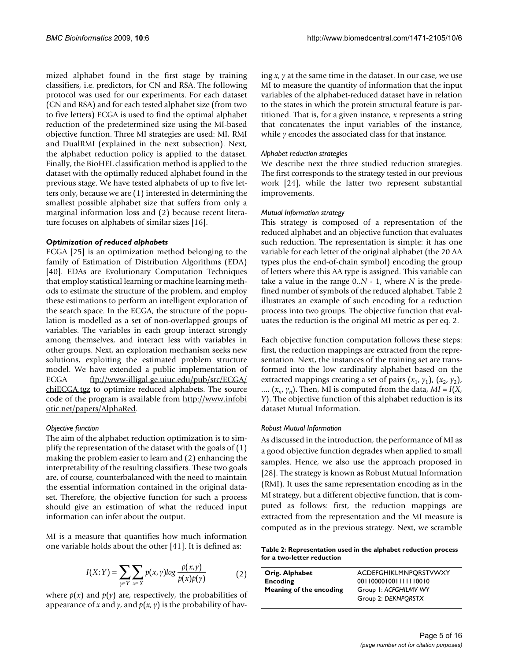mized alphabet found in the first stage by training classifiers, i.e. predictors, for CN and RSA. The following protocol was used for our experiments. For each dataset (CN and RSA) and for each tested alphabet size (from two to five letters) ECGA is used to find the optimal alphabet reduction of the predetermined size using the MI-based objective function. Three MI strategies are used: MI, RMI and DualRMI (explained in the next subsection). Next, the alphabet reduction policy is applied to the dataset. Finally, the BioHEL classification method is applied to the dataset with the optimally reduced alphabet found in the previous stage. We have tested alphabets of up to five letters only, because we are (1) interested in determining the smallest possible alphabet size that suffers from only a marginal information loss and (2) because recent literature focuses on alphabets of similar sizes [16].

### *Optimization of reduced alphabets*

ECGA [25] is an optimization method belonging to the family of Estimation of Distribution Algorithms (EDA) [40]. EDAs are Evolutionary Computation Techniques that employ statistical learning or machine learning methods to estimate the structure of the problem, and employ these estimations to perform an intelligent exploration of the search space. In the ECGA, the structure of the population is modelled as a set of non-overlapped groups of variables. The variables in each group interact strongly among themselves, and interact less with variables in other groups. Next, an exploration mechanism seeks new solutions, exploiting the estimated problem structure model. We have extended a public implementation of ECGA [ftp://www-illigal.ge.uiuc.edu/pub/src/ECGA/](ftp://www-illigal.ge.uiuc.edu/pub/src/ECGA/chiECGA.tgz) [chiECGA.tgz](ftp://www-illigal.ge.uiuc.edu/pub/src/ECGA/chiECGA.tgz) to optimize reduced alphabets. The source code of the program is available from [http://www.infobi](http://www.infobiotic.net/papers/AlphaRed) [otic.net/papers/AlphaRed.](http://www.infobiotic.net/papers/AlphaRed)

### *Objective function*

The aim of the alphabet reduction optimization is to simplify the representation of the dataset with the goals of (1) making the problem easier to learn and (2) enhancing the interpretability of the resulting classifiers. These two goals are, of course, counterbalanced with the need to maintain the essential information contained in the original dataset. Therefore, the objective function for such a process should give an estimation of what the reduced input information can infer about the output.

MI is a measure that quantifies how much information one variable holds about the other [41]. It is defined as:

$$
I(X;Y) = \sum_{\gamma \in Y} \sum_{x \in X} p(x,\gamma) \log \frac{p(x,\gamma)}{p(x)p(\gamma)}
$$
(2)

where  $p(x)$  and  $p(y)$  are, respectively, the probabilities of appearance of *x* and *y*, and  $p(x, y)$  is the probability of having *x*, *y* at the same time in the dataset. In our case, we use MI to measure the quantity of information that the input variables of the alphabet-reduced dataset have in relation to the states in which the protein structural feature is partitioned. That is, for a given instance, *x* represents a string that concatenates the input variables of the instance, while *y* encodes the associated class for that instance.

## *Alphabet reduction strategies*

We describe next the three studied reduction strategies. The first corresponds to the strategy tested in our previous work [24], while the latter two represent substantial improvements.

### *Mutual Information strategy*

This strategy is composed of a representation of the reduced alphabet and an objective function that evaluates such reduction. The representation is simple: it has one variable for each letter of the original alphabet (the 20 AA types plus the end-of-chain symbol) encoding the group of letters where this AA type is assigned. This variable can take a value in the range 0..*N* - 1, where *N* is the predefined number of symbols of the reduced alphabet. Table 2 illustrates an example of such encoding for a reduction process into two groups. The objective function that evaluates the reduction is the original MI metric as per eq. 2.

Each objective function computation follows these steps: first, the reduction mappings are extracted from the representation. Next, the instances of the training set are transformed into the low cardinality alphabet based on the extracted mappings creating a set of pairs  $(x_1, y_1)$ ,  $(x_2, y_2)$ , ...,  $(x_n, y_n)$ . Then, MI is computed from the data, *MI* = *I*(*X*, *Y*). The objective function of this alphabet reduction is its dataset Mutual Information.

### *Robust Mutual Information*

As discussed in the introduction, the performance of MI as a good objective function degrades when applied to small samples. Hence, we also use the approach proposed in [28]. The strategy is known as Robust Mutual Information (RMI). It uses the same representation encoding as in the MI strategy, but a different objective function, that is computed as follows: first, the reduction mappings are extracted from the representation and the MI measure is computed as in the previous strategy. Next, we scramble

**Table 2: Representation used in the alphabet reduction process for a two-letter reduction**

| Orig. Alphabet          | <b>ACDEFGHIKLMNPORSTVWXY</b> |
|-------------------------|------------------------------|
| <b>Encoding</b>         | 001100001001111110010        |
| Meaning of the encoding | Group 1: ACFGHILMV WY        |
|                         | Group 2: DEKNPORSTX          |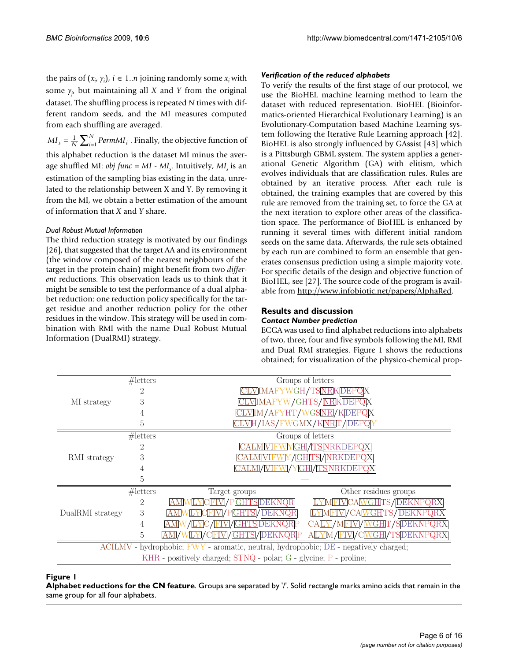the pairs of  $(x_i, y_i)$ ,  $i \in 1..n$  joining randomly some  $x_i$  with some *yj* , but maintaining all *X* and *Y* from the original dataset. The shuffling process is repeated *N* times with different random seeds, and the MI measures computed from each shuffling are averaged.

 $MI_s = \frac{1}{N} \sum_{i=1}^{N} PermMI_i$  . Finally, the objective function of this alphabet reduction is the dataset MI minus the average shuffled MI: *obj func* = *MI* - *MIs* . Intuitively, *MIs* is an estimation of the sampling bias existing in the data, unrelated to the relationship between X and Y. By removing it from the MI, we obtain a better estimation of the amount of information that *X* and *Y* share.

### *Dual Robust Mutual Information*

The third reduction strategy is motivated by our findings [26], that suggested that the target AA and its environment (the window composed of the nearest neighbours of the target in the protein chain) might benefit from two *different* reductions. This observation leads us to think that it might be sensible to test the performance of a dual alphabet reduction: one reduction policy specifically for the target residue and another reduction policy for the other residues in the window. This strategy will be used in combination with RMI with the name Dual Robust Mutual Information (DualRMI) strategy.

### *Verification of the reduced alphabets*

To verify the results of the first stage of our protocol, we use the BioHEL machine learning method to learn the dataset with reduced representation. BioHEL (Bioinformatics-oriented Hierarchical Evolutionary Learning) is an Evolutionary-Computation based Machine Learning system following the Iterative Rule Learning approach [42]. BioHEL is also strongly influenced by GAssist [43] which is a Pittsburgh GBML system. The system applies a generational Genetic Algorithm (GA) with elitism, which evolves individuals that are classification rules. Rules are obtained by an iterative process. After each rule is obtained, the training examples that are covered by this rule are removed from the training set, to force the GA at the next iteration to explore other areas of the classification space. The performance of BioHEL is enhanced by running it several times with different initial random seeds on the same data. Afterwards, the rule sets obtained by each run are combined to form an ensemble that generates consensus prediction using a simple majority vote. For specific details of the design and objective function of BioHEL, see [27]. The source code of the program is available from <http://www.infobiotic.net/papers/AlphaRed>.

### **Results and discussion** *Contact Number prediction*

ECGA was used to find alphabet reductions into alphabets of two, three, four and five symbols following the MI, RMI and Dual RMI strategies. Figure 1 shows the reductions obtained; for visualization of the physico-chemical prop-

|                                                                                      | #letters |                                 | Groups of letters             |  |
|--------------------------------------------------------------------------------------|----------|---------------------------------|-------------------------------|--|
|                                                                                      |          |                                 | CLVIMAFYWGH/TSNRKDEPQX        |  |
| MI strategy                                                                          | ð        |                                 | CLVIMAFYW/GHTS/NRKDEPQX       |  |
|                                                                                      | 4        |                                 | CLVIM/AFYHT/WGSNR/KDEPQX      |  |
|                                                                                      | 5        | CLVH/IAS/FWGMX/KNRT/DEPQ        |                               |  |
|                                                                                      | #letters |                                 | Groups of letters             |  |
|                                                                                      | 2        |                                 | YGH/TSNRKDEPQX                |  |
| RMI strategy                                                                         | 3        | M VIFWY/GH TS /NRKDEPQX         |                               |  |
|                                                                                      | 4        | CALM/WFW/YGH/TSNRKDEPQX         |                               |  |
| 5                                                                                    |          |                                 |                               |  |
|                                                                                      | #letters | Target groups                   | Other residues groups         |  |
|                                                                                      | 2        | <u>is</u> dekn<br>'CH'I         | <b>LYMFIVCAWGHTS/DEKNPQRX</b> |  |
| DualRMI strategy                                                                     | 3        | ? GHTS / DEKNQR<br> LYCFIV /I   | LYMFIV/CAWGHTS/DEKNPQRX       |  |
|                                                                                      | 4        | AMW/LYC/FIV/GHTSDEKNQR          | CALY/MFIV/WGHT/SDEKNPQRX      |  |
|                                                                                      | 5        | <b>AM/WLY/CFIV/GHTS/DEKNQRI</b> | ALYM/FIV/CWGH/TSDEKNPQRX      |  |
| ACILMV - hydrophobic; FWY - aromatic, neutral, hydrophobic; DE - negatively charged; |          |                                 |                               |  |
| KHR - positively charged; $STNQ$ - polar; $G$ - glycine; $P$ - proline;              |          |                                 |                               |  |

### **Figure 1**

**Alphabet reductions for the CN feature**. Groups are separated by '/'. Solid rectangle marks amino acids that remain in the same group for all four alphabets.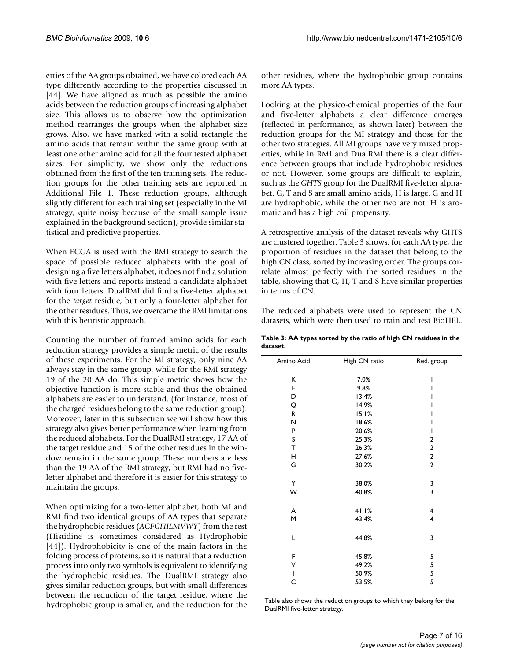erties of the AA groups obtained, we have colored each AA type differently according to the properties discussed in [44]. We have aligned as much as possible the amino acids between the reduction groups of increasing alphabet size. This allows us to observe how the optimization method rearranges the groups when the alphabet size grows. Also, we have marked with a solid rectangle the amino acids that remain within the same group with at least one other amino acid for all the four tested alphabet sizes. For simplicity, we show only the reductions obtained from the first of the ten training sets. The reduction groups for the other training sets are reported in Additional File 1. These reduction groups, although slightly different for each training set (especially in the MI strategy, quite noisy because of the small sample issue explained in the background section), provide similar statistical and predictive properties.

When ECGA is used with the RMI strategy to search the space of possible reduced alphabets with the goal of designing a five letters alphabet, it does not find a solution with five letters and reports instead a candidate alphabet with four letters. DualRMI did find a five-letter alphabet for the *target* residue, but only a four-letter alphabet for the other residues. Thus, we overcame the RMI limitations with this heuristic approach.

Counting the number of framed amino acids for each reduction strategy provides a simple metric of the results of these experiments. For the MI strategy, only nine AA always stay in the same group, while for the RMI strategy 19 of the 20 AA do. This simple metric shows how the objective function is more stable and thus the obtained alphabets are easier to understand, (for instance, most of the charged residues belong to the same reduction group). Moreover, later in this subsection we will show how this strategy also gives better performance when learning from the reduced alphabets. For the DualRMI strategy, 17 AA of the target residue and 15 of the other residues in the window remain in the same group. These numbers are less than the 19 AA of the RMI strategy, but RMI had no fiveletter alphabet and therefore it is easier for this strategy to maintain the groups.

When optimizing for a two-letter alphabet, both MI and RMI find two identical groups of AA types that separate the hydrophobic residues (*ACFGHILMVWY*) from the rest (Histidine is sometimes considered as Hydrophobic [44]). Hydrophobicity is one of the main factors in the folding process of proteins, so it is natural that a reduction process into only two symbols is equivalent to identifying the hydrophobic residues. The DualRMI strategy also gives similar reduction groups, but with small differences between the reduction of the target residue, where the hydrophobic group is smaller, and the reduction for the other residues, where the hydrophobic group contains more AA types.

Looking at the physico-chemical properties of the four and five-letter alphabets a clear difference emerges (reflected in performance, as shown later) between the reduction groups for the MI strategy and those for the other two strategies. All MI groups have very mixed properties, while in RMI and DualRMI there is a clear difference between groups that include hydrophobic residues or not. However, some groups are difficult to explain, such as the *GHTS* group for the DualRMI five-letter alphabet. G, T and S are small amino acids, H is large. G and H are hydrophobic, while the other two are not. H is aromatic and has a high coil propensity.

A retrospective analysis of the dataset reveals why GHTS are clustered together. Table 3 shows, for each AA type, the proportion of residues in the dataset that belong to the high CN class, sorted by increasing order. The groups correlate almost perfectly with the sorted residues in the table, showing that G, H, T and S have similar properties in terms of CN.

The reduced alphabets were used to represent the CN datasets, which were then used to train and test BioHEL.

| Table 3: AA types sorted by the ratio of high CN residues in the |  |
|------------------------------------------------------------------|--|
| dataset.                                                         |  |

| Amino Acid | High CN ratio | Red. group     |
|------------|---------------|----------------|
| К          | 7.0%          | ı              |
| E          | 9.8%          |                |
| D          | 13.4%         |                |
| Q          | 14.9%         |                |
| R          | 15.1%         |                |
| N          | 18.6%         |                |
| P          | 20.6%         |                |
| S          | 25.3%         | 2              |
| T          | 26.3%         | $\overline{2}$ |
| H          | 27.6%         | $\overline{2}$ |
| G          | 30.2%         | $\overline{2}$ |
| Υ          | 38.0%         | 3              |
| W          | 40.8%         | 3              |
| A          | 41.1%         | $\overline{4}$ |
| M          | 43.4%         | $\overline{4}$ |
| L          | 44.8%         | 3              |
| F          | 45.8%         | 5              |
| ٧          | 49.2%         | 5              |
| I          | 50.9%         | 5              |
| Ċ          | 53.5%         | 5              |

Table also shows the reduction groups to which they belong for the DualRMI five-letter strategy.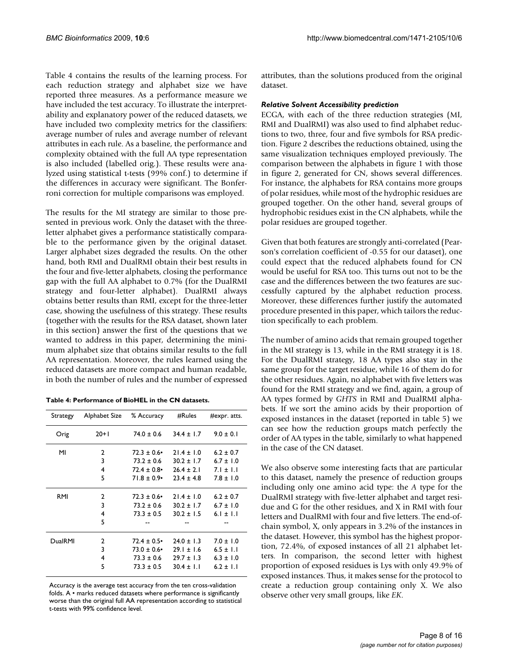Table 4 contains the results of the learning process. For each reduction strategy and alphabet size we have reported three measures. As a performance measure we have included the test accuracy. To illustrate the interpretability and explanatory power of the reduced datasets, we have included two complexity metrics for the classifiers: average number of rules and average number of relevant attributes in each rule. As a baseline, the performance and complexity obtained with the full AA type representation is also included (labelled orig.). These results were analyzed using statistical t-tests (99% conf.) to determine if the differences in accuracy were significant. The Bonferroni correction for multiple comparisons was employed.

The results for the MI strategy are similar to those presented in previous work. Only the dataset with the threeletter alphabet gives a performance statistically comparable to the performance given by the original dataset. Larger alphabet sizes degraded the results. On the other hand, both RMI and DualRMI obtain their best results in the four and five-letter alphabets, closing the performance gap with the full AA alphabet to 0.7% (for the DualRMI strategy and four-letter alphabet). DualRMI always obtains better results than RMI, except for the three-letter case, showing the usefulness of this strategy. These results (together with the results for the RSA dataset, shown later in this section) answer the first of the questions that we wanted to address in this paper, determining the minimum alphabet size that obtains similar results to the full AA representation. Moreover, the rules learned using the reduced datasets are more compact and human readable, in both the number of rules and the number of expressed

| Strategy | Alphabet Size | % Accuracy     | #Rules         | #expr. atts.  |
|----------|---------------|----------------|----------------|---------------|
| Orig     | $20 + 1$      | $74.0 \pm 0.6$ | $34.4 \pm 1.7$ | $9.0 \pm 0.1$ |
| MI       | 2             | $72.3 \pm 0.6$ | $21.4 \pm 1.0$ | $6.2 \pm 0.7$ |
|          | 3             | $73.2 \pm 0.6$ | $30.2 \pm 1.7$ | $6.7 \pm 1.0$ |
|          | 4             | $72.4 \pm 0.8$ | $26.4 \pm 2.1$ | $7.1 \pm 1.1$ |
|          | 5             | $71.8 \pm 0.9$ | $23.4 \pm 4.8$ | $7.8 \pm 1.0$ |
| RMI      | 2             | $72.3 + 0.6$   | $21.4 + 1.0$   | $6.2 \pm 0.7$ |
|          | 3             | $73.2 \pm 0.6$ | $30.2 \pm 1.7$ | $6.7 \pm 1.0$ |
|          | 4             | $73.3 \pm 0.5$ | $30.2 \pm 1.5$ | $6.1 \pm 1.1$ |
|          | 5             |                |                |               |
| DualRMI  | $\mathcal{P}$ | $72.4 \pm 0.5$ | $24.0 \pm 1.3$ | $7.0 \pm 1.0$ |
|          | 3             | $73.0 \pm 0.6$ | $29.1 \pm 1.6$ | $6.5 \pm 1.1$ |
|          | 4             | $73.3 \pm 0.6$ | $29.7 + 1.3$   | $6.3 + 1.0$   |
|          | 5             | $73.3 \pm 0.5$ | $30.4 \pm 1.1$ | $6.2 \pm 1.1$ |
|          |               |                |                |               |

Accuracy is the average test accuracy from the ten cross-validation folds. A • marks reduced datasets where performance is significantly worse than the original full AA representation according to statistical t-tests with 99% confidence level.

attributes, than the solutions produced from the original dataset.

#### *Relative Solvent Accessibility prediction*

ECGA, with each of the three reduction strategies (MI, RMI and DualRMI) was also used to find alphabet reductions to two, three, four and five symbols for RSA prediction. Figure 2 describes the reductions obtained, using the same visualization techniques employed previously. The comparison between the alphabets in figure 1 with those in figure 2, generated for CN, shows several differences. For instance, the alphabets for RSA contains more groups of polar residues, while most of the hydrophic residues are grouped together. On the other hand, several groups of hydrophobic residues exist in the CN alphabets, while the polar residues are grouped together.

Given that both features are strongly anti-correlated (Pearson's correlation coefficient of -0.55 for our dataset), one could expect that the reduced alphabets found for CN would be useful for RSA too. This turns out not to be the case and the differences between the two features are successfully captured by the alphabet reduction process. Moreover, these differences further justify the automated procedure presented in this paper, which tailors the reduction specifically to each problem.

The number of amino acids that remain grouped together in the MI strategy is 13, while in the RMI strategy it is 18. For the DualRMI strategy, 18 AA types also stay in the same group for the target residue, while 16 of them do for the other residues. Again, no alphabet with five letters was found for the RMI strategy and we find, again, a group of AA types formed by *GHTS* in RMI and DualRMI alphabets. If we sort the amino acids by their proportion of exposed instances in the dataset (reported in table 5) we can see how the reduction groups match perfectly the order of AA types in the table, similarly to what happened in the case of the CN dataset.

We also observe some interesting facts that are particular to this dataset, namely the presence of reduction groups including only one amino acid type: the *A* type for the DualRMI strategy with five-letter alphabet and target residue and G for the other residues, and X in RMI with four letters and DualRMI with four and five letters. The end-ofchain symbol, X, only appears in 3.2% of the instances in the dataset. However, this symbol has the highest proportion, 72.4%, of exposed instances of all 21 alphabet letters. In comparison, the second letter with highest proportion of exposed residues is Lys with only 49.9% of exposed instances. Thus, it makes sense for the protocol to create a reduction group containing only X. We also observe other very small groups, like *EK*.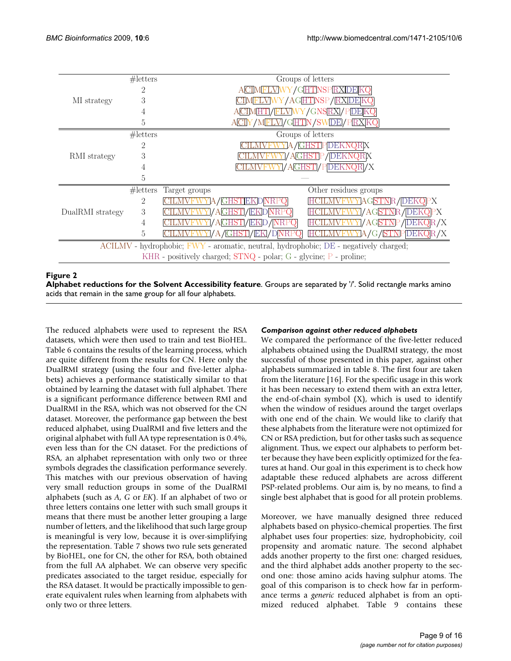|                                                                                                   | #letters |                                                                         | Groups of letters          |  |
|---------------------------------------------------------------------------------------------------|----------|-------------------------------------------------------------------------|----------------------------|--|
|                                                                                                   | 2        |                                                                         | ACIMFLVWY/GHTNSPRXDEKQ     |  |
| MI strategy                                                                                       | 3        |                                                                         | CIMFLVWY/AGHTNSP/RXDEKQ    |  |
|                                                                                                   | 4        |                                                                         | ACIMHT/FLVWY/GNSRX/PDEKQ   |  |
|                                                                                                   | 5        |                                                                         | ACIY/MFLV/GHTN/SWDE/PRXKQ  |  |
|                                                                                                   | #letters |                                                                         | Groups of letters          |  |
|                                                                                                   |          |                                                                         | LMVFWYA/GHSTPDEKNQRX       |  |
| RMI strategy                                                                                      | 3        |                                                                         | <u>WY</u> /AGHSTP/DEKNQRX  |  |
|                                                                                                   |          | <b>NY / AGHST / PDEKNOR / X</b>                                         |                            |  |
|                                                                                                   | 5        |                                                                         |                            |  |
|                                                                                                   | #letters | Target groups                                                           | Other residues groups      |  |
|                                                                                                   | 2        | MVFWYA/ GHST EK D NRI                                                   | LMVFWYAGSTNR/DEKQPX        |  |
| DualRMI strategy                                                                                  | 3        | WY/AGHST/EKDNRPQ                                                        | LMVFWY/AGSTNR/DEKQPX       |  |
|                                                                                                   | 4        | LMVFWY/AGHST/EKD/NRPQ                                                   | CILMVFWY]/AGSTNP/ DEKQ R/X |  |
|                                                                                                   | 5        | CILMVFWY/A/GHST/EK/DNRPQ                                                | HCILMVFWYA/G/STNPDEKQR/X   |  |
| $\Lambda$ CILMV - hydrophobic; $FWY$ - aromatic, neutral, hydrophobic; $DE$ - negatively charged; |          |                                                                         |                            |  |
|                                                                                                   |          | KHR - positively charged; $STNQ$ - polar; $G$ - glycine; $P$ - proline; |                            |  |
|                                                                                                   |          |                                                                         |                            |  |

## Figure 2

**Alphabet reductions for the Solvent Accessibility feature**. Groups are separated by '/'. Solid rectangle marks amino acids that remain in the same group for all four alphabets.

The reduced alphabets were used to represent the RSA datasets, which were then used to train and test BioHEL. Table 6 contains the results of the learning process, which are quite different from the results for CN. Here only the DualRMI strategy (using the four and five-letter alphabets) achieves a performance statistically similar to that obtained by learning the dataset with full alphabet. There is a significant performance difference between RMI and DualRMI in the RSA, which was not observed for the CN dataset. Moreover, the performance gap between the best reduced alphabet, using DualRMI and five letters and the original alphabet with full AA type representation is 0.4%, even less than for the CN dataset. For the predictions of RSA, an alphabet representation with only two or three symbols degrades the classification performance severely. This matches with our previous observation of having very small reduction groups in some of the DualRMI alphabets (such as *A*, *G* or *EK*). If an alphabet of two or three letters contains one letter with such small groups it means that there must be another letter grouping a large number of letters, and the likelihood that such large group is meaningful is very low, because it is over-simplifying the representation. Table 7 shows two rule sets generated by BioHEL, one for CN, the other for RSA, both obtained from the full AA alphabet. We can observe very specific predicates associated to the target residue, especially for the RSA dataset. It would be practically impossible to generate equivalent rules when learning from alphabets with only two or three letters.

### *Comparison against other reduced alphabets*

We compared the performance of the five-letter reduced alphabets obtained using the DualRMI strategy, the most successful of those presented in this paper, against other alphabets summarized in table 8. The first four are taken from the literature [16]. For the specific usage in this work it has been necessary to extend them with an extra letter, the end-of-chain symbol (X), which is used to identify when the window of residues around the target overlaps with one end of the chain. We would like to clarify that these alphabets from the literature were not optimized for CN or RSA prediction, but for other tasks such as sequence alignment. Thus, we expect our alphabets to perform better because they have been explicitly optimized for the features at hand. Our goal in this experiment is to check how adaptable these reduced alphabets are across different PSP-related problems. Our aim is, by no means, to find a single best alphabet that is good for all protein problems.

Moreover, we have manually designed three reduced alphabets based on physico-chemical properties. The first alphabet uses four properties: size, hydrophobicity, coil propensity and aromatic nature. The second alphabet adds another property to the first one: charged residues, and the third alphabet adds another property to the second one: those amino acids having sulphur atoms. The goal of this comparison is to check how far in performance terms a *generic* reduced alphabet is from an optimized reduced alphabet. Table 9 contains these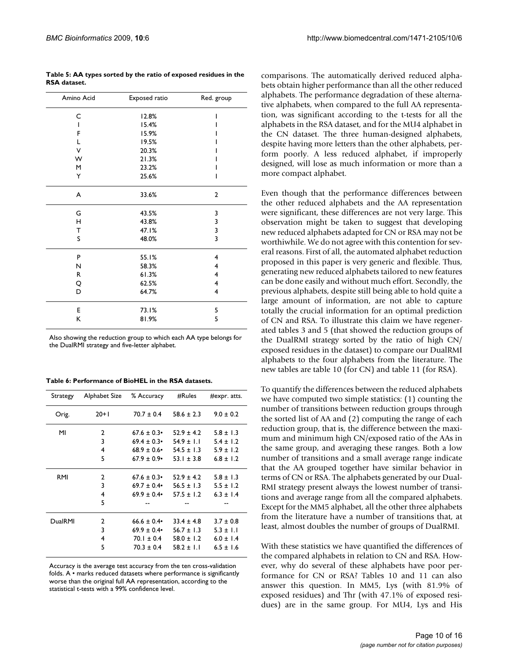**Table 5: AA types sorted by the ratio of exposed residues in the RSA dataset.** 

| Amino Acid | Exposed ratio | Red. group     |
|------------|---------------|----------------|
| C          | 12.8%         | I              |
| L          | 15.4%         |                |
| F          | 15.9%         |                |
| L          | 19.5%         |                |
| v          | 20.3%         |                |
| W          | 21.3%         |                |
| M          | 23.2%         |                |
| Y          | 25.6%         |                |
| A          | 33.6%         | 2              |
| G          | 43.5%         | 3              |
| Н          | 43.8%         | 3              |
| т          | 47.1%         | 3              |
| S          | 48.0%         | 3              |
| P          | 55.1%         | 4              |
| N          | 58.3%         | 4              |
| R          | 61.3%         | 4              |
| Q          | 62.5%         | $\overline{4}$ |
| D          | 64.7%         | $\overline{4}$ |
| E          | 73.1%         | 5              |
| Κ          | 81.9%         | 5              |

Also showing the reduction group to which each AA type belongs for the DualRMI strategy and five-letter alphabet.

| Table 6: Performance of BioHEL in the RSA datasets. |  |  |  |
|-----------------------------------------------------|--|--|--|
|-----------------------------------------------------|--|--|--|

| Strategy       | Alphabet Size % Accuracy |                | #Rules         | #expr. atts.  |
|----------------|--------------------------|----------------|----------------|---------------|
| Orig.          | $20 + 1$                 | $70.7 \pm 0.4$ | $58.6 \pm 2.3$ | $9.0 \pm 0.2$ |
| MI             | 2                        | $67.6 \pm 0.3$ | $52.9 \pm 4.2$ | $5.8 \pm 1.3$ |
|                | 3                        | $69.4 \pm 0.3$ | $54.9 \pm 1.1$ | $5.4 \pm 1.2$ |
|                | 4                        | $68.9 + 0.6$   | $54.5 + 1.3$   | $5.9 + 1.2$   |
|                | 5                        | $67.9 \pm 0.9$ | 53.1 $\pm$ 3.8 | $6.8 \pm 1.2$ |
| RMI            | $\overline{2}$           | $67.6 \pm 0.3$ | $52.9 \pm 4.2$ | $5.8 \pm 1.3$ |
|                | 3                        | $69.7 + 0.4$   | $56.5 \pm 1.3$ | $5.5 \pm 1.2$ |
|                | 4                        | $69.9 \pm 0.4$ | $57.5 \pm 1.2$ | $6.3 \pm 1.4$ |
|                | 5                        |                |                |               |
| <b>DualRMI</b> | 2                        | $66.6 \pm 0.4$ | $33.4 \pm 4.8$ | $3.7 \pm 0.8$ |
|                | 3                        | $69.9 \pm 0.4$ | $56.7 \pm 1.3$ | $5.3 \pm 1.1$ |
|                | $\overline{4}$           | $70.1 \pm 0.4$ | $58.0 \pm 1.2$ | $6.0 \pm 1.4$ |
|                | 5                        | $70.3 \pm 0.4$ | $58.2 \pm 1.1$ | $6.5 \pm 1.6$ |
|                |                          |                |                |               |

Accuracy is the average test accuracy from the ten cross-validation folds. A • marks reduced datasets where performance is significantly worse than the original full AA representation, according to the statistical t-tests with a 99% confidence level.

comparisons. The automatically derived reduced alphabets obtain higher performance than all the other reduced alphabets. The performance degradation of these alternative alphabets, when compared to the full AA representation, was significant according to the t-tests for all the alphabets in the RSA dataset, and for the MU4 alphabet in the CN dataset. The three human-designed alphabets, despite having more letters than the other alphabets, perform poorly. A less reduced alphabet, if improperly designed, will lose as much information or more than a more compact alphabet.

Even though that the performance differences between the other reduced alphabets and the AA representation were significant, these differences are not very large. This observation might be taken to suggest that developing new reduced alphabets adapted for CN or RSA may not be worthiwhile. We do not agree with this contention for several reasons. First of all, the automated alphabet reduction proposed in this paper is very generic and flexible. Thus, generating new reduced alphabets tailored to new features can be done easily and without much effort. Secondly, the previous alphabets, despite still being able to hold quite a large amount of information, are not able to capture totally the crucial information for an optimal prediction of CN and RSA. To illustrate this claim we have regenerated tables 3 and 5 (that showed the reduction groups of the DualRMI strategy sorted by the ratio of high CN/ exposed residues in the dataset) to compare our DualRMI alphabets to the four alphabets from the literature. The new tables are table 10 (for CN) and table 11 (for RSA).

To quantify the differences between the reduced alphabets we have computed two simple statistics: (1) counting the number of transitions between reduction groups through the sorted list of AA and (2) computing the range of each reduction group, that is, the difference between the maximum and minimum high CN/exposed ratio of the AAs in the same group, and averaging these ranges. Both a low number of transitions and a small average range indicate that the AA grouped together have similar behavior in terms of CN or RSA. The alphabets generated by our Dual-RMI strategy present always the lowest number of transitions and average range from all the compared alphabets. Except for the MM5 alphabet, all the other three alphabets from the literature have a number of transitions that, at least, almost doubles the number of groups of DualRMI.

With these statistics we have quantified the differences of the compared alphabets in relation to CN and RSA. However, why do several of these alphabets have poor performance for CN or RSA? Tables 10 and 11 can also answer this question. In MM5, Lys (with 81.9% of exposed residues) and Thr (with 47.1% of exposed residues) are in the same group. For MU4, Lys and His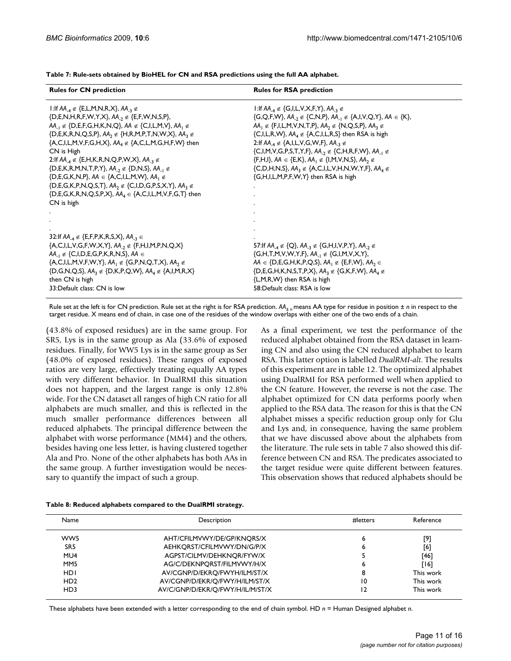**Table 7: Rule-sets obtained by BioHEL for CN and RSA predictions using the full AA alphabet.**

| <b>Rules for CN prediction</b>                                                                                                                                                                                                                                                                                                                                                                                                                                                                                                                                                                                                                 | <b>Rules for RSA prediction</b>                                                                                                                                                                                                                                                                                                                                                                                                                                                                                                                                                                                                                                      |
|------------------------------------------------------------------------------------------------------------------------------------------------------------------------------------------------------------------------------------------------------------------------------------------------------------------------------------------------------------------------------------------------------------------------------------------------------------------------------------------------------------------------------------------------------------------------------------------------------------------------------------------------|----------------------------------------------------------------------------------------------------------------------------------------------------------------------------------------------------------------------------------------------------------------------------------------------------------------------------------------------------------------------------------------------------------------------------------------------------------------------------------------------------------------------------------------------------------------------------------------------------------------------------------------------------------------------|
| 1: If AA <sub>-4</sub> ∉ {E,L,M,N,R,X}, AA <sub>-3</sub> ∉<br>$\{D,E,N,H,R,F,W,Y,X\},AA, \notin \{E,F,W,N,S,P\},\$<br>$AA_{-1} \notin \{D, E, F, G, H, K, N, Q\}, AA \notin \{C, I, L, M, V\}, AA_{1} \notin$<br>$\{D, E, K, R, N, Q, S, P\}$ , AA <sub>2</sub> $\notin \{H, R, M, P, T, N, W, X\}$ , AA <sub>3</sub> $\notin$<br>${A, C, I, L, M, V, F, G, H, X}$ , $AA_4 \notin {A, C, L, M, G, H, F, W}$ then<br>CN is High<br>2: If $AA_{-4} \notin \{E,H,K,R,N,Q,P,W,X\}, AA_{-3} \notin$<br>$\{D,E,K,R,M,N,T,P,Y\},AA_2 \notin \{D,N,S\},AA_1 \notin \{D,K,S\}$<br>$\{D, E, G, K, N, P\}$ , AA $\in \{A, C, I, L, M, W\}$ , AA, $\notin$ | 1: If AA <sub>-4</sub> ∉ {G, I, L, V, X, F, Y}, AA <sub>-3</sub> ∉<br>$\{G,Q,F,W\},AA_{,2} \notin \{C,N,P\},AA_{,1} \notin \{A,I,V,Q,Y\},AA \in \{K\},\$<br>$AA_1 \notin \{F,I,L,M,V,N,T,P\}, AA_2 \notin \{N,Q,S,P\}, AA_3 \notin \{S,Q,S,P\}$<br>$\{C, I, L, R, W\}, AA_4 \notin \{A, C, I, L, R, S\}$ then RSA is high<br>2: If AA $_4 \notin \{A, I, L, V, G, W, F\}$ , AA $_3 \notin$<br>${C,I,M,V,G,P,S,T,Y,F}, AA_{2} \notin {C,H,R,F,W}, AA_{1} \notin$<br>${F,H,I}, AA \in {E,K}, AA \notin {I,M,V,N,S}, AA \notin$<br>${C, D, H, N, S}$ , AA <sub>2</sub> $\notin$ {A,C,I,L,V,H,N,W,Y,F}, AA <sub>4</sub> $\notin$<br>{G,H,I,L,M,P,F,W,Y} then RSA is high |
| $\{D, E, G, K, P, N, Q, S, T\}, AA$ , $\not\in \{C, I, D, G, P, S, X, Y\}, AA$ , $\not\in$<br>$\{D, E, G, K, R, N, Q, S, P, X\}, AA_4 \in \{A, C, I, L, M, V, F, G, T\}$ then<br>CN is high                                                                                                                                                                                                                                                                                                                                                                                                                                                    |                                                                                                                                                                                                                                                                                                                                                                                                                                                                                                                                                                                                                                                                      |
| 32: If $AA_{-4} \notin \{E, F, P, K, R, S, X\}$ , $AA_{-3} \in$<br>${A, C, I, L, V, G, F, W, X, Y}, AA_{2} \notin {F, H, I, M, P, N, Q, X}$<br>$AA_{-1} \notin \{C,I,D,E,G,P,K,R,N,S\}, AA \in$<br>$\{A, C, I, L, M, V, F, W, Y\}$ , $AA_1 \notin \{G, P, N, Q, T, X\}$ , $AA_2 \notin \{H, R, Q, T, Z\}$<br>$\{D,G,N,Q,S\}$ , AA <sub>3</sub> $\notin$ {D,K,P,Q,W}, AA <sub>4</sub> $\notin$ {A,I,M,R,X}<br>then CN is high<br>33: Default class: CN is low                                                                                                                                                                                   | 57: If $AA_{-4} \notin \{Q\}$ , $AA_{-3} \notin \{G,H,I,V,P,Y\}$ , $AA_{-2} \notin \{H,I,V,P,Y\}$<br>$\{G,H,T,M,V,W,Y,F\}, AA_{\perp} \notin \{G,I,M,V,X,Y\},\$<br>$AA \in \{D, E, G, H, K, P, Q, S\}$ , $AA_1 \notin \{E, F, W\}$ , $AA_2 \in$<br>$\{D, E, G, H, K, N, S, T, P, X\}$ , AA <sub>3</sub> $\notin$ $\{G, K, F, W\}$ , AA <sub>4</sub> $\notin$<br>{L,M,R,W} then RSA is high<br>58: Default class: RSA is low                                                                                                                                                                                                                                          |

Rule set at the left is for CN prediction. Rule set at the right is for RSA prediction. *AA*± *n* means AA type for residue in position ± *n* in respect to the target residue. X means end of chain, in case one of the residues of the window overlaps with either one of the two ends of a chain.

(43.8% of exposed residues) are in the same group. For SR5, Lys is in the same group as Ala (33.6% of exposed residues. Finally, for WW5 Lys is in the same group as Ser (48.0% of exposed residues). These ranges of exposed ratios are very large, effectively treating equally AA types with very different behavior. In DualRMI this situation does not happen, and the largest range is only 12.8% wide. For the CN dataset all ranges of high CN ratio for all alphabets are much smaller, and this is reflected in the much smaller performance differences between all reduced alphabets. The principal difference between the alphabet with worse performance (MM4) and the others, besides having one less letter, is having clustered together Ala and Pro. None of the other alphabets has both AAs in the same group. A further investigation would be necessary to quantify the impact of such a group.

As a final experiment, we test the performance of the reduced alphabet obtained from the RSA dataset in learning CN and also using the CN reduced alphabet to learn RSA. This latter option is labelled *DualRMI-alt*. The results of this experiment are in table 12. The optimized alphabet using DualRMI for RSA performed well when applied to the CN feature. However, the reverse is not the case. The alphabet optimized for CN data performs poorly when applied to the RSA data. The reason for this is that the CN alphabet misses a specific reduction group only for Glu and Lys and, in consequence, having the same problem that we have discussed above about the alphabets from the literature. The rule sets in table 7 also showed this difference between CN and RSA. The predicates associated to the target residue were quite different between features. This observation shows that reduced alphabets should be

| Name            | Description                      | #letters | Reference |
|-----------------|----------------------------------|----------|-----------|
| WW <sub>5</sub> | AHT/CFILMVWY/DE/GP/KNORS/X       | ь        | [9]       |
| SR <sub>5</sub> | AEHKORST/CFILMVWY/DN/G/P/X       | n        | [6]       |
| MU <sub>4</sub> | AGPST/CILMV/DEHKNOR/FYW/X        |          | [46]      |
| MM <sub>5</sub> | AG/C/DEKNPORST/FILMVWY/H/X       | n        | [16]      |
| <b>HDI</b>      | AV/CGNP/D/EKRO/FWYH/ILM/ST/X     | 8        | This work |
| HD <sub>2</sub> | AV/CGNP/D/EKR/Q/FWY/H/ILM/ST/X   | 10       | This work |
| HD3             | AV/C/GNP/D/EKR/Q/FWY/H/IL/M/ST/X |          | This work |

These alphabets have been extended with a letter corresponding to the end of chain symbol. HD *n* = Human Designed alphabet *n*.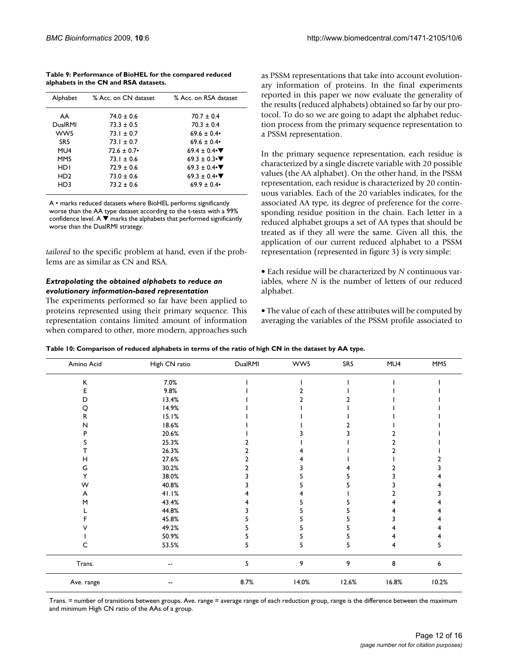| Table 9: Performance of BioHEL for the compared reduced |
|---------------------------------------------------------|
| alphabets in the CN and RSA datasets.                   |

| Alphabet        | % Acc. on CN dataset | % Acc. on RSA dataset       |
|-----------------|----------------------|-----------------------------|
| AA              | $74.0 + 0.6$         | $70.7 + 0.4$                |
| DualRMI         | $73.3 + 0.5$         | $70.3 + 0.4$                |
| WW <sub>5</sub> | $73.1 + 0.7$         | $69.6 + 0.4$                |
| SR <sub>5</sub> | $73.1 \pm 0.7$       | $69.6 + 0.4$                |
| MU <sub>4</sub> | $72.6 + 0.7$         | 69.4 ± 0.4 $\cdot$ $\nabla$ |
| MM <sub>5</sub> | $73.1 \pm 0.6$       | $69.3 + 0.3 \cdot \nabla$   |
| HDI             | $72.9 \pm 0.6$       | $69.3 + 0.4$                |
| HD <sub>2</sub> | $73.0 + 0.6$         | $69.3 + 0.4$                |
| HD3             | $73.2 \pm 0.6$       | $69.9 + 0.4$                |
|                 |                      |                             |

A • marks reduced datasets where BioHEL performs significantly worse than the AA type dataset according to the t-tests with a 99% confidence level. A  $\nabla$  marks the alphabets that performed significantly worse than the DualRMI strategy.

*tailored* to the specific problem at hand, even if the problems are as similar as CN and RSA.

#### *Extrapolating the obtained alphabets to reduce an evolutionary information-based representation*

The experiments performed so far have been applied to proteins represented using their primary sequence. This representation contains limited amount of information when compared to other, more modern, approaches such as PSSM representations that take into account evolutionary information of proteins. In the final experiments reported in this paper we now evaluate the generality of the results (reduced alphabets) obtained so far by our protocol. To do so we are going to adapt the alphabet reduction process from the primary sequence representation to a PSSM representation.

In the primary sequence representation, each residue is characterized by a single discrete variable with 20 possible values (the AA alphabet). On the other hand, in the PSSM representation, each residue is characterized by 20 continuous variables. Each of the 20 variables indicates, for the associated AA type, its degree of preference for the corresponding residue position in the chain. Each letter in a reduced alphabet groups a set of AA types that should be treated as if they all were the same. Given all this, the application of our current reduced alphabet to a PSSM representation (represented in figure 3) is very simple:

• Each residue will be characterized by *N* continuous variables, where *N* is the number of letters of our reduced alphabet.

• The value of each of these attributes will be computed by averaging the variables of the PSSM profile associated to

| Amino Acid | High CN ratio | DualRMI | WW5   | SR <sub>5</sub> | MU4   | MM5   |
|------------|---------------|---------|-------|-----------------|-------|-------|
| K          | 7.0%          |         |       |                 |       |       |
|            | 9.8%          |         |       |                 |       |       |
| D          | 13.4%         |         |       |                 |       |       |
| O          | 14.9%         |         |       |                 |       |       |
| R          | 15.1%         |         |       |                 |       |       |
| N          | 18.6%         |         |       |                 |       |       |
|            | 20.6%         |         |       |                 |       |       |
|            | 25.3%         |         |       |                 |       |       |
|            | 26.3%         |         |       |                 |       |       |
| H          | 27.6%         |         |       |                 |       |       |
| G          | 30.2%         |         |       |                 |       |       |
|            | 38.0%         |         |       |                 |       |       |
| W          | 40.8%         |         |       |                 |       |       |
| A          | 41.1%         |         |       |                 |       |       |
| M          | 43.4%         |         |       |                 |       |       |
|            | 44.8%         |         |       |                 |       |       |
|            | 45.8%         |         |       |                 |       |       |
|            | 49.2%         |         |       |                 |       |       |
|            | 50.9%         |         |       |                 |       |       |
|            | 53.5%         | 5       | 5     | 5               | 4     | 5     |
| Trans.     | --            | 5       | 9     | 9               | 8     | 6     |
| Ave. range |               | 8.7%    | 14.0% | 12.6%           | 16.8% | 10.2% |

**Table 10: Comparison of reduced alphabets in terms of the ratio of high CN in the dataset by AA type.** 

Trans. = number of transitions between groups. Ave. range = average range of each reduction group, range is the difference between the maximum and minimum High CN ratio of the AAs of a group.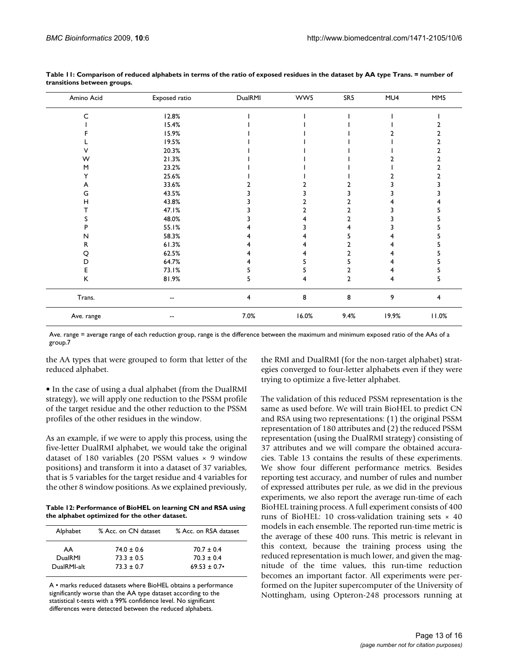| Amino Acid | Exposed ratio | DualRMI                 | WW5   | SR <sub>5</sub> | MU4   | MM5   |
|------------|---------------|-------------------------|-------|-----------------|-------|-------|
| C          | 12.8%         |                         |       |                 |       |       |
|            | 15.4%         |                         |       |                 |       |       |
|            | 15.9%         |                         |       |                 |       |       |
|            | 19.5%         |                         |       |                 |       |       |
|            | 20.3%         |                         |       |                 |       |       |
| W          | 21.3%         |                         |       |                 |       |       |
| M          | 23.2%         |                         |       |                 |       |       |
|            | 25.6%         |                         |       |                 |       |       |
| А          | 33.6%         |                         |       |                 |       |       |
| G          | 43.5%         |                         |       |                 |       |       |
| н          | 43.8%         |                         |       |                 |       |       |
|            | 47.I%         |                         |       |                 |       |       |
|            | 48.0%         |                         |       |                 |       |       |
|            | 55.1%         |                         |       |                 |       |       |
| N          | 58.3%         |                         |       |                 |       |       |
| R          | 61.3%         |                         |       |                 |       |       |
| Q          | 62.5%         |                         |       |                 |       |       |
| D          | 64.7%         |                         |       |                 | 4     |       |
| Е          | 73.1%         |                         |       |                 | 4     |       |
| К          | 81.9%         | 5                       | 4     | 2               | 4     | 5     |
| Trans.     | --            | $\overline{\mathbf{4}}$ | 8     | $\bf 8$         | 9     | 4     |
| Ave. range |               | 7.0%                    | 16.0% | 9.4%            | 19.9% | 11.0% |

| Table 11: Comparison of reduced alphabets in terms of the ratio of exposed residues in the dataset by AA type Trans. = number of |  |
|----------------------------------------------------------------------------------------------------------------------------------|--|
| transitions between groups.                                                                                                      |  |

Ave. range = average range of each reduction group, range is the difference between the maximum and minimum exposed ratio of the AAs of a group.7

the AA types that were grouped to form that letter of the reduced alphabet.

• In the case of using a dual alphabet (from the DualRMI strategy), we will apply one reduction to the PSSM profile of the target residue and the other reduction to the PSSM profiles of the other residues in the window.

As an example, if we were to apply this process, using the five-letter DualRMI alphabet, we would take the original dataset of 180 variables (20 PSSM values × 9 window positions) and transform it into a dataset of 37 variables, that is 5 variables for the target residue and 4 variables for the other 8 window positions. As we explained previously,

**Table 12: Performance of BioHEL on learning CN and RSA using the alphabet optimized for the other dataset.**

| Alphabet    | % Acc. on CN dataset | % Acc. on RSA dataset |
|-------------|----------------------|-----------------------|
| AA          | $74.0 \pm 0.6$       | $70.7 \pm 0.4$        |
| DualRMI     | $73.3 + 0.5$         | $70.3 \pm 0.4$        |
| DualRMI-alt | $73.3 \pm 0.7$       | $69.53 \pm 0.7$       |

A • marks reduced datasets where BioHEL obtains a performance significantly worse than the AA type dataset according to the statistical t-tests with a 99% confidence level. No significant differences were detected between the reduced alphabets.

the RMI and DualRMI (for the non-target alphabet) strategies converged to four-letter alphabets even if they were trying to optimize a five-letter alphabet.

The validation of this reduced PSSM representation is the same as used before. We will train BioHEL to predict CN and RSA using two representations: (1) the original PSSM representation of 180 attributes and (2) the reduced PSSM representation (using the DualRMI strategy) consisting of 37 attributes and we will compare the obtained accuracies. Table 13 contains the results of these experiments. We show four different performance metrics. Besides reporting test accuracy, and number of rules and number of expressed attributes per rule, as we did in the previous experiments, we also report the average run-time of each BioHEL training process. A full experiment consists of 400 runs of BioHEL: 10 cross-validation training sets  $\times$  40 models in each ensemble. The reported run-time metric is the average of these 400 runs. This metric is relevant in this context, because the training process using the reduced representation is much lower, and given the magnitude of the time values, this run-time reduction becomes an important factor. All experiments were performed on the Jupiter supercomputer of the University of Nottingham, using Opteron-248 processors running at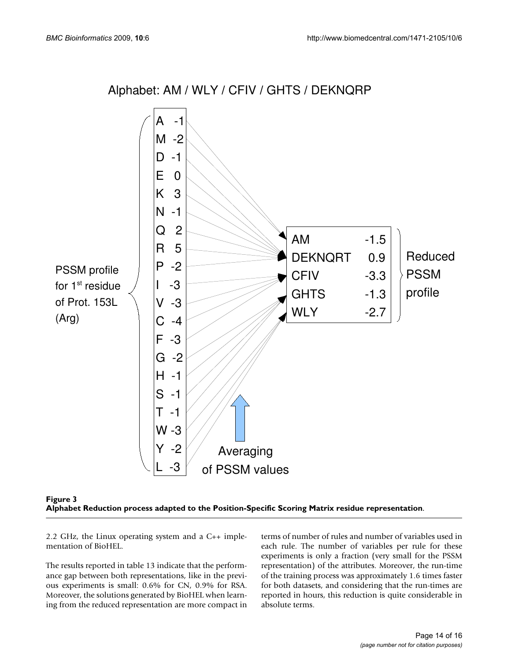

# Alphabet: AM **/** WLY **/** CFIV **/** GHTS **/** DEKNQRP



2.2 GHz, the Linux operating system and a C++ implementation of BioHEL.

The results reported in table 13 indicate that the performance gap between both representations, like in the previous experiments is small: 0.6% for CN, 0.9% for RSA. Moreover, the solutions generated by BioHEL when learning from the reduced representation are more compact in terms of number of rules and number of variables used in each rule. The number of variables per rule for these experiments is only a fraction (very small for the PSSM representation) of the attributes. Moreover, the run-time of the training process was approximately 1.6 times faster for both datasets, and considering that the run-times are reported in hours, this reduction is quite considerable in absolute terms.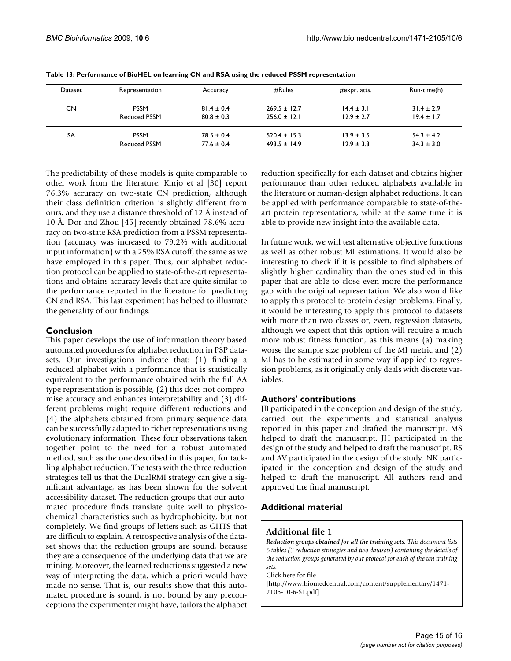| Dataset | Representation      | Accuracy       | #Rules           | #expr. atts.   | Run-time(h)    |
|---------|---------------------|----------------|------------------|----------------|----------------|
| CN      | <b>PSSM</b>         | $81.4 \pm 0.4$ | $269.5 \pm 12.7$ | $14.4 \pm 3.1$ | $31.4 \pm 2.9$ |
|         | <b>Reduced PSSM</b> | $80.8 \pm 0.3$ | $256.0 \pm 12.1$ | $12.9 \pm 2.7$ | $19.4 \pm 1.7$ |
| SA      | <b>PSSM</b>         | $78.5 \pm 0.4$ | $520.4 \pm 15.3$ | $13.9 \pm 3.5$ | $54.3 \pm 4.2$ |
|         | <b>Reduced PSSM</b> | $77.6 \pm 0.4$ | $493.5 \pm 14.9$ | $12.9 \pm 3.3$ | $34.3 \pm 3.0$ |

**Table 13: Performance of BioHEL on learning CN and RSA using the reduced PSSM representation**

The predictability of these models is quite comparable to other work from the literature. Kinjo et al [30] report 76.3% accuracy on two-state CN prediction, although their class definition criterion is slightly different from ours, and they use a distance threshold of 12 Å instead of 10 Å. Dor and Zhou [45] recently obtained 78.6% accuracy on two-state RSA prediction from a PSSM representation (accuracy was increased to 79.2% with additional input information) with a 25% RSA cutoff, the same as we have employed in this paper. Thus, our alphabet reduction protocol can be applied to state-of-the-art representations and obtains accuracy levels that are quite similar to the performance reported in the literature for predicting CN and RSA. This last experiment has helped to illustrate the generality of our findings.

## **Conclusion**

This paper develops the use of information theory based automated procedures for alphabet reduction in PSP datasets. Our investigations indicate that: (1) finding a reduced alphabet with a performance that is statistically equivalent to the performance obtained with the full AA type representation is possible, (2) this does not compromise accuracy and enhances interpretability and (3) different problems might require different reductions and (4) the alphabets obtained from primary sequence data can be successfully adapted to richer representations using evolutionary information. These four observations taken together point to the need for a robust automated method, such as the one described in this paper, for tackling alphabet reduction. The tests with the three reduction strategies tell us that the DualRMI strategy can give a significant advantage, as has been shown for the solvent accessibility dataset. The reduction groups that our automated procedure finds translate quite well to physicochemical characteristics such as hydrophobicity, but not completely. We find groups of letters such as GHTS that are difficult to explain. A retrospective analysis of the dataset shows that the reduction groups are sound, because they are a consequence of the underlying data that we are mining. Moreover, the learned reductions suggested a new way of interpreting the data, which a priori would have made no sense. That is, our results show that this automated procedure is sound, is not bound by any preconceptions the experimenter might have, tailors the alphabet reduction specifically for each dataset and obtains higher performance than other reduced alphabets available in the literature or human-design alphabet reductions. It can be applied with performance comparable to state-of-theart protein representations, while at the same time it is able to provide new insight into the available data.

In future work, we will test alternative objective functions as well as other robust MI estimations. It would also be interesting to check if it is possible to find alphabets of slightly higher cardinality than the ones studied in this paper that are able to close even more the performance gap with the original representation. We also would like to apply this protocol to protein design problems. Finally, it would be interesting to apply this protocol to datasets with more than two classes or, even, regression datasets, although we expect that this option will require a much more robust fitness function, as this means (a) making worse the sample size problem of the MI metric and (2) MI has to be estimated in some way if applied to regression problems, as it originally only deals with discrete variables.

# **Authors' contributions**

JB participated in the conception and design of the study, carried out the experiments and statistical analysis reported in this paper and drafted the manuscript. MS helped to draft the manuscript. JH participated in the design of the study and helped to draft the manuscript. RS and AV participated in the design of the study. NK participated in the conception and design of the study and helped to draft the manuscript. All authors read and approved the final manuscript.

# **Additional material**

### **Additional file 1**

*Reduction groups obtained for all the training sets. This document lists 6 tables (3 reduction strategies and two datasets) containing the details of the reduction groups generated by our protocol for each of the ten training sets.*

Click here for file

[\[http://www.biomedcentral.com/content/supplementary/1471-](http://www.biomedcentral.com/content/supplementary/1471-2105-10-6-S1.pdf) 2105-10-6-S1.pdf]